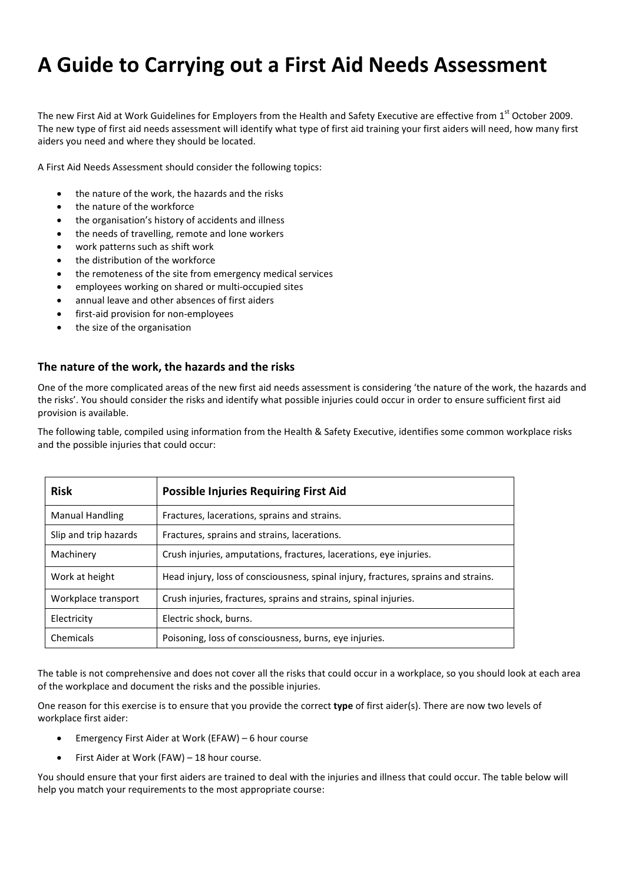# **A Guide to Carrying out a First Aid Needs Assessment**

The new First Aid at Work Guidelines for Employers from the Health and Safety Executive are effective from  $1^{st}$  October 2009. The new type of first aid needs assessment will identify what type of first aid training your first aiders will need, how many first aiders you need and where they should be located.

A First Aid Needs Assessment should consider the following topics:

- the nature of the work, the hazards and the risks
- the nature of the workforce
- the organisation's history of accidents and illness
- the needs of travelling, remote and lone workers
- work patterns such as shift work
- the distribution of the workforce
- the remoteness of the site from emergency medical services
- employees working on shared or multi-occupied sites
- annual leave and other absences of first aiders
- first-aid provision for non-employees
- the size of the organisation

#### **The nature of the work, the hazards and the risks**

One of the more complicated areas of the new first aid needs assessment is considering 'the nature of the work, the hazards and the risks'. You should consider the risks and identify what possible injuries could occur in order to ensure sufficient first aid provision is available.

The following table, compiled using information from the Health & Safety Executive, identifies some common workplace risks and the possible injuries that could occur:

| <b>Risk</b>            | <b>Possible Injuries Requiring First Aid</b>                                       |  |
|------------------------|------------------------------------------------------------------------------------|--|
| <b>Manual Handling</b> | Fractures, lacerations, sprains and strains.                                       |  |
| Slip and trip hazards  | Fractures, sprains and strains, lacerations.                                       |  |
| Machinery              | Crush injuries, amputations, fractures, lacerations, eye injuries.                 |  |
| Work at height         | Head injury, loss of consciousness, spinal injury, fractures, sprains and strains. |  |
| Workplace transport    | Crush injuries, fractures, sprains and strains, spinal injuries.                   |  |
| Electricity            | Electric shock, burns.                                                             |  |
| Chemicals              | Poisoning, loss of consciousness, burns, eye injuries.                             |  |

The table is not comprehensive and does not cover all the risks that could occur in a workplace, so you should look at each area of the workplace and document the risks and the possible injuries.

One reason for this exercise is to ensure that you provide the correct **type** of first aider(s). There are now two levels of workplace first aider:

- Emergency First Aider at Work (EFAW) 6 hour course
- First Aider at Work (FAW) 18 hour course.

You should ensure that your first aiders are trained to deal with the injuries and illness that could occur. The table below will help you match your requirements to the most appropriate course: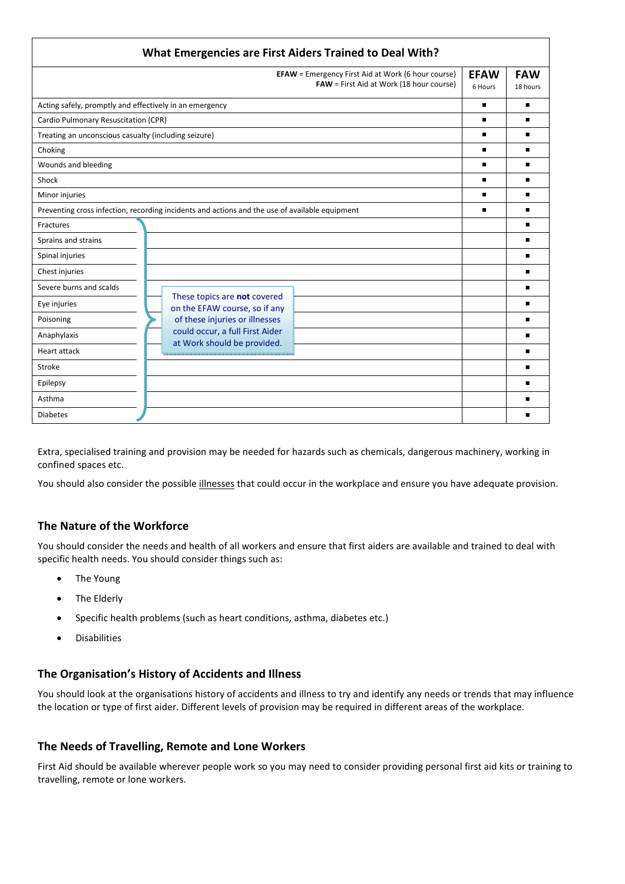| What Emergencies are First Aiders Trained to Deal With?                                        |                                                                                                       |                        |                        |  |
|------------------------------------------------------------------------------------------------|-------------------------------------------------------------------------------------------------------|------------------------|------------------------|--|
|                                                                                                | <b>EFAW</b> = Emergency First Aid at Work (6 hour course)<br>FAW = First Aid at Work (18 hour course) | <b>EFAW</b><br>6 Hours | <b>FAW</b><br>18 hours |  |
| Acting safely, promptly and effectively in an emergency                                        |                                                                                                       | $\blacksquare$         |                        |  |
| Cardio Pulmonary Resuscitation (CPR)                                                           |                                                                                                       |                        | ■                      |  |
| Treating an unconscious casualty (including seizure)                                           |                                                                                                       |                        | ▬                      |  |
| Choking                                                                                        |                                                                                                       |                        | ■                      |  |
| Wounds and bleeding                                                                            |                                                                                                       | ٠                      | ■                      |  |
| Shock                                                                                          |                                                                                                       | ٠                      |                        |  |
| Minor injuries                                                                                 |                                                                                                       | $\blacksquare$         |                        |  |
| Preventing cross infection, recording incidents and actions and the use of available equipment |                                                                                                       |                        | ■                      |  |
| Fractures                                                                                      |                                                                                                       |                        | ■                      |  |
| Sprains and strains                                                                            |                                                                                                       |                        |                        |  |
| Spinal injuries                                                                                |                                                                                                       |                        |                        |  |
| Chest injuries                                                                                 |                                                                                                       |                        |                        |  |
| Severe burns and scalds                                                                        |                                                                                                       |                        | ■                      |  |
| Eye injuries                                                                                   | These topics are not covered<br>on the EFAW course, so if any                                         |                        | n                      |  |
| Poisoning                                                                                      | of these injuries or illnesses                                                                        |                        |                        |  |
| Anaphylaxis                                                                                    | could occur, a full First Aider<br>at Work should be provided.                                        |                        | ■                      |  |
| <b>Heart attack</b>                                                                            |                                                                                                       |                        | ■                      |  |
| Stroke                                                                                         |                                                                                                       |                        | ■                      |  |
| Epilepsy                                                                                       |                                                                                                       |                        |                        |  |
| Asthma                                                                                         |                                                                                                       |                        |                        |  |
| <b>Diabetes</b>                                                                                |                                                                                                       |                        |                        |  |

Extra, specialised training and provision may be needed for hazards such as chemicals, dangerous machinery, working in confined spaces etc.

You should also consider the possible illnesses that could occur in the workplace and ensure you have adequate provision.

# **The Nature of the Workforce**

You should consider the needs and health of all workers and ensure that first aiders are available and trained to deal with specific health needs. You should consider things such as:

- The Young
- The Elderly
- Specific health problems (such as heart conditions, asthma, diabetes etc.)
- Disabilities

#### **The Organisation's History of Accidents and Illness**

You should look at the organisations history of accidents and illness to try and identify any needs or trends that may influence the location or type of first aider. Different levels of provision may be required in different areas of the workplace.

#### **The Needs of Travelling, Remote and Lone Workers**

First Aid should be available wherever people work so you may need to consider providing personal first aid kits or training to travelling, remote or lone workers.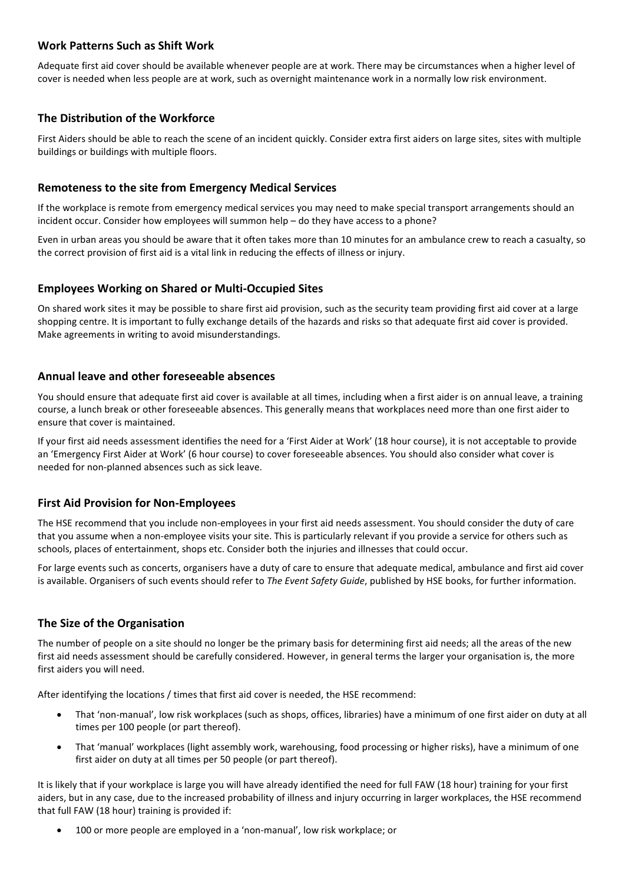## **Work Patterns Such as Shift Work**

Adequate first aid cover should be available whenever people are at work. There may be circumstances when a higher level of cover is needed when less people are at work, such as overnight maintenance work in a normally low risk environment.

## **The Distribution of the Workforce**

First Aiders should be able to reach the scene of an incident quickly. Consider extra first aiders on large sites, sites with multiple buildings or buildings with multiple floors.

## **Remoteness to the site from Emergency Medical Services**

If the workplace is remote from emergency medical services you may need to make special transport arrangements should an incident occur. Consider how employees will summon help – do they have access to a phone?

Even in urban areas you should be aware that it often takes more than 10 minutes for an ambulance crew to reach a casualty, so the correct provision of first aid is a vital link in reducing the effects of illness or injury.

#### **Employees Working on Shared or Multi-Occupied Sites**

On shared work sites it may be possible to share first aid provision, such as the security team providing first aid cover at a large shopping centre. It is important to fully exchange details of the hazards and risks so that adequate first aid cover is provided. Make agreements in writing to avoid misunderstandings.

## **Annual leave and other foreseeable absences**

You should ensure that adequate first aid cover is available at all times, including when a first aider is on annual leave, a training course, a lunch break or other foreseeable absences. This generally means that workplaces need more than one first aider to ensure that cover is maintained.

If your first aid needs assessment identifies the need for a 'First Aider at Work' (18 hour course), it is not acceptable to provide an 'Emergency First Aider at Work' (6 hour course) to cover foreseeable absences. You should also consider what cover is needed for non-planned absences such as sick leave.

#### **First Aid Provision for Non-Employees**

The HSE recommend that you include non-employees in your first aid needs assessment. You should consider the duty of care that you assume when a non-employee visits your site. This is particularly relevant if you provide a service for others such as schools, places of entertainment, shops etc. Consider both the injuries and illnesses that could occur.

For large events such as concerts, organisers have a duty of care to ensure that adequate medical, ambulance and first aid cover is available. Organisers of such events should refer to *The Event Safety Guide*, published by HSE books, for further information.

# **The Size of the Organisation**

The number of people on a site should no longer be the primary basis for determining first aid needs; all the areas of the new first aid needs assessment should be carefully considered. However, in general terms the larger your organisation is, the more first aiders you will need.

After identifying the locations / times that first aid cover is needed, the HSE recommend:

- That 'non-manual', low risk workplaces (such as shops, offices, libraries) have a minimum of one first aider on duty at all times per 100 people (or part thereof).
- That 'manual' workplaces (light assembly work, warehousing, food processing or higher risks), have a minimum of one first aider on duty at all times per 50 people (or part thereof).

It is likely that if your workplace is large you will have already identified the need for full FAW (18 hour) training for your first aiders, but in any case, due to the increased probability of illness and injury occurring in larger workplaces, the HSE recommend that full FAW (18 hour) training is provided if:

• 100 or more people are employed in a 'non-manual', low risk workplace; or